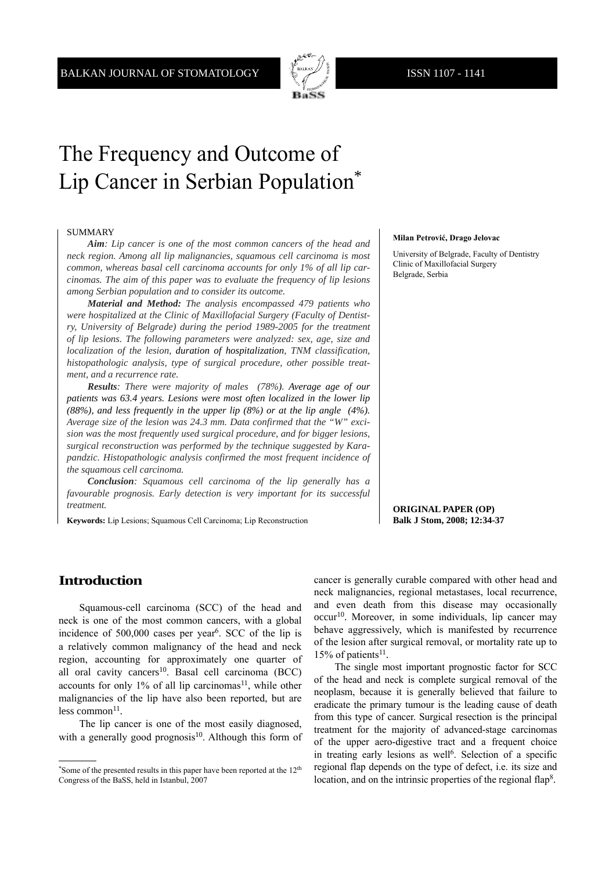

# The Frequency and Outcome of Lip Cancer in Serbian Population\*

#### SUMMARY

*Aim: Lip cancer is one of the most common cancers of the head and neck region. Among all lip malignancies, squamous cell carcinoma is most common, whereas basal cell carcinoma accounts for only 1% of all lip carcinomas. The aim of this paper was to evaluate the frequency of lip lesions among Serbian population and to consider its outcome.*

*Material and Method: The analysis encompassed 479 patients who were hospitalized at the Clinic of Maxillofacial Surgery (Faculty of Dentistry, University of Belgrade) during the period 1989-2005 for the treatment of lip lesions. The following parameters were analyzed: sex, age, size and localization of the lesion, duration of hospitalization, TNM classification, histopathologic analysis, type of surgical procedure, other possible treatment, and a recurrence rate.*

*Results: There were majority of males (78%). Average age of our patients was 63.4 years. Lesions were most often localized in the lower lip (88%), and less frequently in the upper lip (8%) or at the lip angle (4%). Average size of the lesion was 24.3 mm. Data confirmed that the "W" excision was the most frequently used surgical procedure, and for bigger lesions, surgical reconstruction was performed by the technique suggested by Karapandzic. Histopathologic analysis confirmed the most frequent incidence of the squamous cell carcinoma.*

*Conclusion: Squamous cell carcinoma of the lip generally has a favourable prognosis. Early detection is very important for its successful treatment.*

**Keywords:** Lip Lesions; Squamous Cell Carcinoma; Lip Reconstruction

#### **Milan Petrović, Drago Jelovac**

University of Belgrade, Faculty of Dentistry Clinic of Maxillofacial Surgery Belgrade, Serbia

**ORIGINAL PAPER (OP) Balk J Stom, 2008; 12:34-37**

## **Introduction**

Squamous-cell carcinoma (SCC) of the head and neck is one of the most common cancers, with a global incidence of  $500,000$  cases per year<sup>6</sup>. SCC of the lip is a relatively common malignancy of the head and neck region, accounting for approximately one quarter of all oral cavity cancers<sup>10</sup>. Basal cell carcinoma  $(BCC)$ accounts for only  $1\%$  of all lip carcinomas<sup>11</sup>, while other malignancies of the lip have also been reported, but are less common $11$ .

The lip cancer is one of the most easily diagnosed, with a generally good prognosis<sup>10</sup>. Although this form of cancer is generally curable compared with other head and neck malignancies, regional metastases, local recurrence, and even death from this disease may occasionally occur10. Moreover, in some individuals, lip cancer may behave aggressively, which is manifested by recurrence of the lesion after surgical removal, or mortality rate up to  $15%$  of patients<sup>11</sup>.

The single most important prognostic factor for SCC of the head and neck is complete surgical removal of the neoplasm, because it is generally believed that failure to eradicate the primary tumour is the leading cause of death from this type of cancer. Surgical resection is the principal treatment for the majority of advanced-stage carcinomas of the upper aero-digestive tract and a frequent choice in treating early lesions as well<sup>6</sup>. Selection of a specific regional flap depends on the type of defect, i.e. its size and location, and on the intrinsic properties of the regional flap<sup>8</sup>.

<sup>\*</sup>Some of the presented results in this paper have been reported at the 12th Congress of the BaSS, held in Istanbul, 2007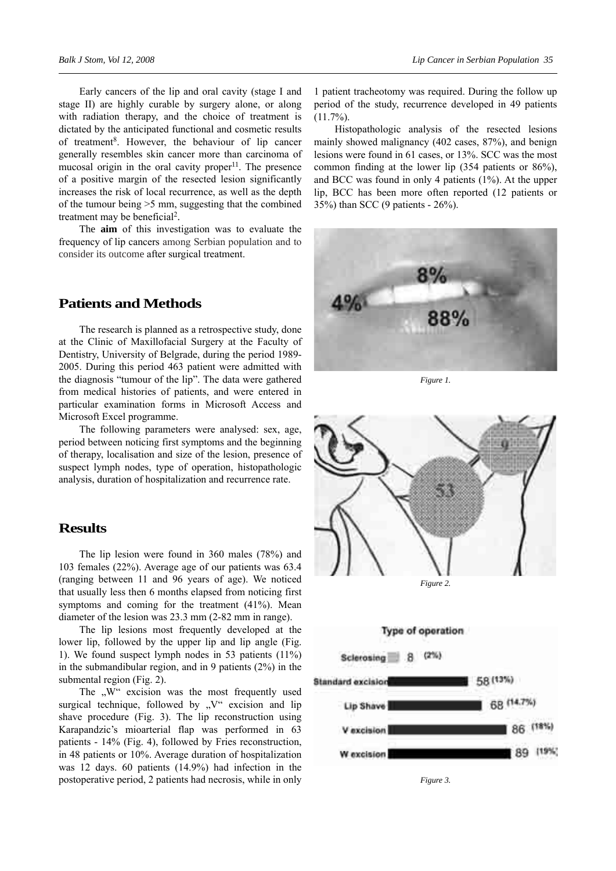Early cancers of the lip and oral cavity (stage I and stage II) are highly curable by surgery alone, or along with radiation therapy, and the choice of treatment is dictated by the anticipated functional and cosmetic results of treatment8. However, the behaviour of lip cancer generally resembles skin cancer more than carcinoma of mucosal origin in the oral cavity proper $11$ . The presence of a positive margin of the resected lesion significantly increases the risk of local recurrence, as well as the depth of the tumour being >5 mm, suggesting that the combined treatment may be beneficial<sup>2</sup>.

The **aim** of this investigation was to evaluate the frequency of lip cancers among Serbian population and to consider its outcome after surgical treatment.

#### **Patients and Methods**

The research is planned as a retrospective study, done at the Clinic of Maxillofacial Surgery at the Faculty of Dentistry, University of Belgrade, during the period 1989- 2005. During this period 463 patient were admitted with the diagnosis "tumour of the lip". The data were gathered from medical histories of patients, and were entered in particular examination forms in Microsoft Access and Microsoft Excel programme.

The following parameters were analysed: sex, age, period between noticing first symptoms and the beginning of therapy, localisation and size of the lesion, presence of suspect lymph nodes, type of operation, histopathologic analysis, duration of hospitalization and recurrence rate.

#### **Results**

The lip lesion were found in 360 males (78%) and 103 females (22%). Average age of our patients was 63.4 (ranging between 11 and 96 years of age). We noticed that usually less then 6 months elapsed from noticing first symptoms and coming for the treatment (41%). Mean diameter of the lesion was 23.3 mm (2-82 mm in range).

The lip lesions most frequently developed at the lower lip, followed by the upper lip and lip angle (Fig. 1). We found suspect lymph nodes in 53 patients (11%) in the submandibular region, and in 9 patients (2%) in the submental region (Fig. 2).

The  $\mathbb{R}^w$  excision was the most frequently used surgical technique, followed by  $V''$  excision and lip shave procedure (Fig. 3). The lip reconstruction using Karapandzic's mioarterial flap was performed in 63 patients - 14% (Fig. 4), followed by Fries reconstruction, in 48 patients or 10%. Average duration of hospitalization was 12 days. 60 patients (14.9%) had infection in the postoperative period, 2 patients had necrosis, while in only

1 patient tracheotomy was required. During the follow up period of the study, recurrence developed in 49 patients  $(11.7\%)$ .

Histopathologic analysis of the resected lesions mainly showed malignancy (402 cases, 87%), and benign lesions were found in 61 cases, or 13%. SCC was the most common finding at the lower lip (354 patients or 86%), and BCC was found in only 4 patients (1%). At the upper lip, BCC has been more often reported (12 patients or 35%) than SCC (9 patients - 26%).



*Figure 1.*





W excision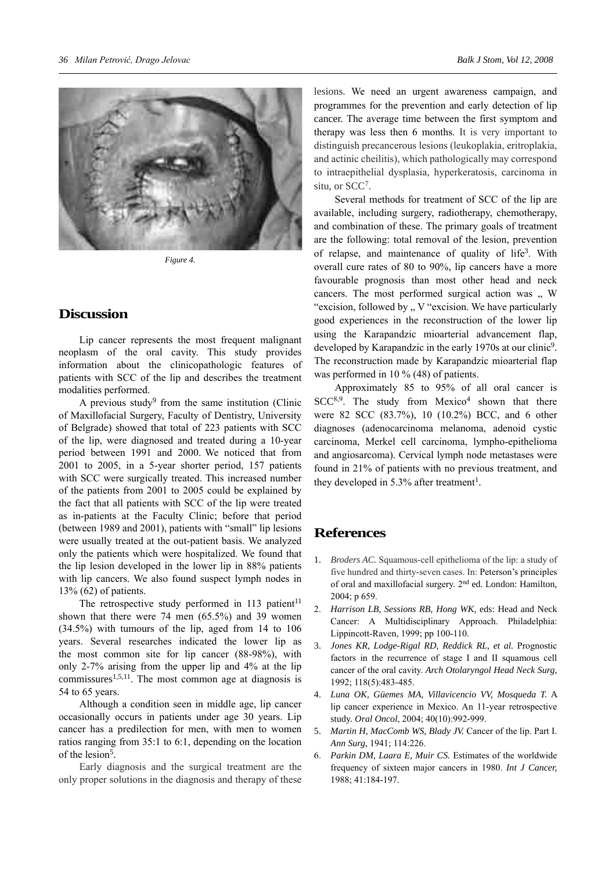

*Figure 4.*

#### **Discussion**

Lip cancer represents the most frequent malignant neoplasm of the oral cavity. This study provides information about the clinicopathologic features of patients with SCC of the lip and describes the treatment modalities performed.

A previous study<sup>9</sup> from the same institution (Clinic of Maxillofacial Surgery, Faculty of Dentistry, University of Belgrade) showed that total of 223 patients with SCC of the lip, were diagnosed and treated during a 10-year period between 1991 and 2000. We noticed that from 2001 to 2005, in a 5-year shorter period, 157 patients with SCC were surgically treated. This increased number of the patients from 2001 to 2005 could be explained by the fact that all patients with SCC of the lip were treated as in-patients at the Faculty Clinic; before that period (between 1989 and 2001), patients with "small" lip lesions were usually treated at the out-patient basis. We analyzed only the patients which were hospitalized. We found that the lip lesion developed in the lower lip in 88% patients with lip cancers. We also found suspect lymph nodes in 13% (62) of patients.

The retrospective study performed in  $113$  patient<sup>11</sup> shown that there were 74 men (65.5%) and 39 women (34.5%) with tumours of the lip, aged from 14 to 106 years. Several researches indicated the lower lip as the most common site for lip cancer (88-98%), with only 2-7% arising from the upper lip and 4% at the lip commissures<sup>1,5,11</sup>. The most common age at diagnosis is 54 to 65 years.

Although a condition seen in middle age, lip cancer occasionally occurs in patients under age 30 years. Lip cancer has a predilection for men, with men to women ratios ranging from 35:1 to 6:1, depending on the location of the lesion<sup>5</sup>.

Early diagnosis and the surgical treatment are the only proper solutions in the diagnosis and therapy of these lesions. We need an urgent awareness campaign, and programmes for the prevention and early detection of lip cancer. The average time between the first symptom and therapy was less then 6 months. It is very important to distinguish precancerous lesions (leukoplakia, eritroplakia, and actinic cheilitis), which pathologically may correspond to intraepithelial dysplasia, hyperkeratosis, carcinoma in situ, or SCC7.

Several methods for treatment of SCC of the lip are available, including surgery, radiotherapy, chemotherapy, and combination of these. The primary goals of treatment are the following: total removal of the lesion, prevention of relapse, and maintenance of quality of life<sup>3</sup>. With overall cure rates of 80 to 90%, lip cancers have a more favourable prognosis than most other head and neck cancers. The most performed surgical action was  $\,$  W "excision, followed by " V "excision. We have particularly good experiences in the reconstruction of the lower lip using the Karapandzic mioarterial advancement flap, developed by Karapandzic in the early 1970s at our clinic<sup>9</sup>. The reconstruction made by Karapandzic mioarterial flap was performed in 10 % (48) of patients.

Approximately 85 to 95% of all oral cancer is  $SCC<sup>8,9</sup>$ . The study from Mexico<sup>4</sup> shown that there were 82 SCC (83.7%), 10 (10.2%) BCC, and 6 other diagnoses (adenocarcinoma melanoma, adenoid cystic carcinoma, Merkel cell carcinoma, lympho-epithelioma and angiosarcoma). Cervical lymph node metastases were found in 21% of patients with no previous treatment, and they developed in 5.3% after treatment<sup>1</sup>.

## **References**

- 1. *Broders AC.* Squamous-cell epithelioma of the lip: a study of five hundred and thirty-seven cases. In: Peterson's principles of oral and maxillofacial surgery. 2nd ed. London: Hamilton, 2004; p 659.
- 2. *Harrison LB, Sessions RB, Hong WK,* eds: Head and Neck Cancer: A Multidisciplinary Approach. Philadelphia: Lippincott-Raven, 1999; pp 100-110.
- 3. *Jones KR, Lodge-Rigal RD, Reddick RL, et al.* Prognostic factors in the recurrence of stage I and II squamous cell cancer of the oral cavity. *Arch Otolaryngol Head Neck Surg,* 1992; 118(5):483-485.
- 4. *Luna OK, Güemes MA, Villavicencio VV, Mosqueda T.* A lip cancer experience in Mexico. An 11-year retrospective study. *Oral Oncol*, 2004; 40(10):992-999.
- 5. *Martin H, MacComb WS, Blady JV.* Cancer of the lip. Part I. *Ann Surg,* 1941; 114:226.
- 6. *Parkin DM, Laara E, Muir CS.* Estimates of the worldwide frequency of sixteen major cancers in 1980. *Int J Cancer,*  1988; 41:184-197.